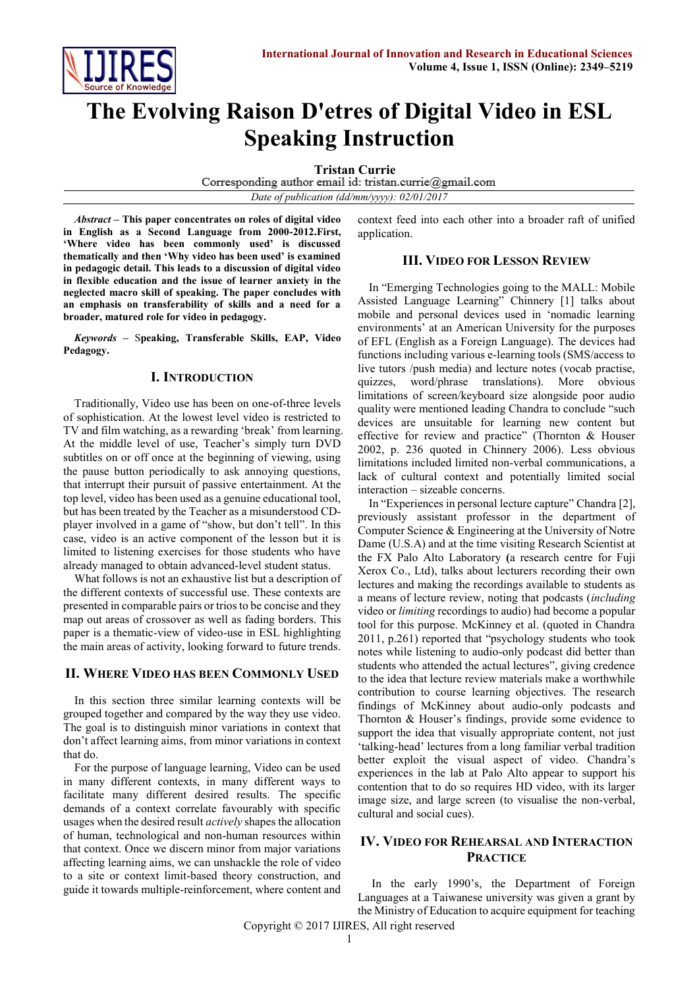

# **The Evolving Raison D'etres of Digital Video in ESL Speaking Instruction**

**Tristan Currie**<br>Corresponding author email id: tristan.currie@gmail.com *Date of publication (dd/mm/yyyy): 02/01/2017*

*Abstract* **– This paper concentrates on roles of digital video in English as a Second Language from 2000-2012.First, 'Where video has been commonly used' is discussed thematically and then 'Why video has been used' is examined in pedagogic detail. This leads to a discussion of digital video in flexible education and the issue of learner anxiety in the neglected macro skill of speaking. The paper concludes with an emphasis on transferability of skills and a need for a broader, matured role for video in pedagogy.**

*Keywords* **–** S**peaking, Transferable Skills, EAP, Video Pedagogy.**

#### **I. INTRODUCTION**

Traditionally, Video use has been on one-of-three levels of sophistication. At the lowest level video is restricted to TV and film watching, as a rewarding 'break' from learning. At the middle level of use, Teacher's simply turn DVD subtitles on or off once at the beginning of viewing, using the pause button periodically to ask annoying questions, that interrupt their pursuit of passive entertainment. At the top level, video has been used as a genuine educational tool, but has been treated by the Teacher as a misunderstood CDplayer involved in a game of "show, but don't tell". In this case, video is an active component of the lesson but it is limited to listening exercises for those students who have already managed to obtain advanced-level student status.

What follows is not an exhaustive list but a description of the different contexts of successful use. These contexts are presented in comparable pairs or trios to be concise and they map out areas of crossover as well as fading borders. This paper is a thematic-view of video-use in ESL highlighting the main areas of activity, looking forward to future trends.

## **II. WHERE VIDEO HAS BEEN COMMONLY USED**

In this section three similar learning contexts will be grouped together and compared by the way they use video. The goal is to distinguish minor variations in context that don't affect learning aims, from minor variations in context that do.

For the purpose of language learning, Video can be used in many different contexts, in many different ways to facilitate many different desired results. The specific demands of a context correlate favourably with specific usages when the desired result *actively* shapes the allocation of human, technological and non-human resources within that context. Once we discern minor from major variations affecting learning aims, we can unshackle the role of video to a site or context limit-based theory construction, and guide it towards multiple-reinforcement, where content and

context feed into each other into a broader raft of unified application.

## **III. VIDEO FOR LESSON REVIEW**

In "Emerging Technologies going to the MALL: Mobile Assisted Language Learning" Chinnery [1] talks about mobile and personal devices used in 'nomadic learning environments' at an American University for the purposes of EFL (English as a Foreign Language). The devices had functions including various e-learning tools (SMS/access to live tutors /push media) and lecture notes (vocab practise, quizzes, word/phrase translations). More obvious limitations of screen/keyboard size alongside poor audio quality were mentioned leading Chandra to conclude "such devices are unsuitable for learning new content but effective for review and practice" (Thornton & Houser 2002, p. 236 quoted in Chinnery 2006). Less obvious limitations included limited non-verbal communications, a lack of cultural context and potentially limited social interaction – sizeable concerns.

In "Experiences in personal lecture capture" Chandra [2], previously assistant professor in the department of Computer Science & Engineering at the University of Notre Dame (U.S.A) and at the time visiting Research Scientist at the FX Palo Alto Laboratory **(**a research centre for Fuji Xerox Co., Ltd), talks about lecturers recording their own lectures and making the recordings available to students as a means of lecture review, noting that podcasts (*including* video or *limiting* recordings to audio) had become a popular tool for this purpose. McKinney et al. (quoted in Chandra 2011, p.261) reported that "psychology students who took notes while listening to audio-only podcast did better than students who attended the actual lectures", giving credence to the idea that lecture review materials make a worthwhile contribution to course learning objectives. The research findings of McKinney about audio-only podcasts and Thornton & Houser's findings, provide some evidence to support the idea that visually appropriate content, not just 'talking-head' lectures from a long familiar verbal tradition better exploit the visual aspect of video. Chandra's experiences in the lab at Palo Alto appear to support his contention that to do so requires HD video, with its larger image size, and large screen (to visualise the non-verbal, cultural and social cues).

## **IV. VIDEO FOR REHEARSAL AND INTERACTION PRACTICE**

In the early 1990's, the Department of Foreign Languages at a Taiwanese university was given a grant by the Ministry of Education to acquire equipment for teaching

Copyright © 2017 IJIRES, All right reserved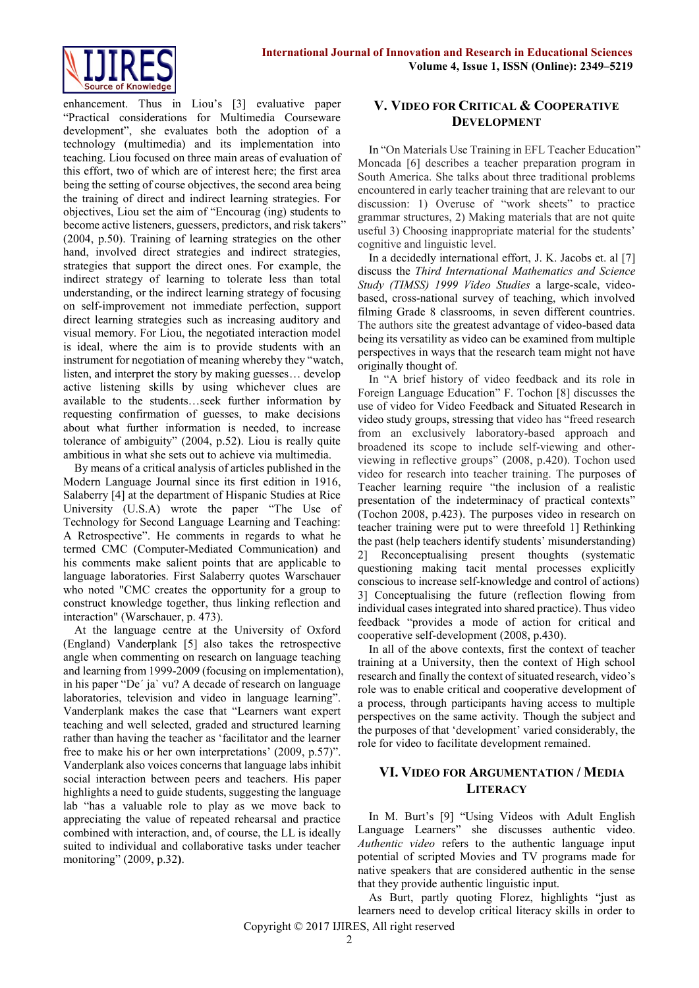

enhancement. Thus in Liou's [3] evaluative paper "Practical considerations for Multimedia Courseware development", she evaluates both the adoption of a technology (multimedia) and its implementation into teaching. Liou focused on three main areas of evaluation of this effort, two of which are of interest here; the first area being the setting of course objectives, the second area being the training of direct and indirect learning strategies. For objectives, Liou set the aim of "Encourag (ing) students to become active listeners, guessers, predictors, and risk takers" (2004, p.50). Training of learning strategies on the other hand, involved direct strategies and indirect strategies, strategies that support the direct ones. For example, the indirect strategy of learning to tolerate less than total understanding, or the indirect learning strategy of focusing on self-improvement not immediate perfection, support direct learning strategies such as increasing auditory and visual memory. For Liou, the negotiated interaction model is ideal, where the aim is to provide students with an instrument for negotiation of meaning whereby they "watch, listen, and interpret the story by making guesses… develop active listening skills by using whichever clues are available to the students…seek further information by requesting confirmation of guesses, to make decisions about what further information is needed, to increase tolerance of ambiguity" (2004, p.52). Liou is really quite ambitious in what she sets out to achieve via multimedia.

By means of a critical analysis of articles published in the Modern Language Journal since its first edition in 1916, Salaberry [4] at the department of Hispanic Studies at Rice University (U.S.A) wrote the paper "The Use of Technology for Second Language Learning and Teaching: A Retrospective". He comments in regards to what he termed CMC (Computer-Mediated Communication) and his comments make salient points that are applicable to language laboratories. First Salaberry quotes Warschauer who noted "CMC creates the opportunity for a group to construct knowledge together, thus linking reflection and interaction" (Warschauer, p. 473).

At the language centre at the University of Oxford (England) Vanderplank [5] also takes the retrospective angle when commenting on research on language teaching and learning from 1999-2009 (focusing on implementation), in his paper "De´ ja` vu? A decade of research on language laboratories, television and video in language learning". Vanderplank makes the case that "Learners want expert teaching and well selected, graded and structured learning rather than having the teacher as 'facilitator and the learner free to make his or her own interpretations' (2009, p.57)". Vanderplank also voices concerns that language labs inhibit social interaction between peers and teachers. His paper highlights a need to guide students, suggesting the language lab "has a valuable role to play as we move back to appreciating the value of repeated rehearsal and practice combined with interaction, and, of course, the LL is ideally suited to individual and collaborative tasks under teacher monitoring" (2009, p.32**)**.

# **V. VIDEO FOR CRITICAL & COOPERATIVE DEVELOPMENT**

In "On Materials Use Training in EFL Teacher Education" Moncada [6] describes a teacher preparation program in South America. She talks about three traditional problems encountered in early teacher training that are relevant to our discussion: 1) Overuse of "work sheets" to practice grammar structures, 2) Making materials that are not quite useful 3) Choosing inappropriate material for the students' cognitive and linguistic level.

In a decidedly international effort, J. K. Jacobs et. al [7] discuss the *Third International Mathematics and Science Study (TIMSS) 1999 Video Studies* a large-scale, videobased, cross-national survey of teaching, which involved filming Grade 8 classrooms, in seven different countries. The authors site the greatest advantage of video-based data being its versatility as video can be examined from multiple perspectives in ways that the research team might not have originally thought of.

In "A brief history of video feedback and its role in Foreign Language Education" F. Tochon [8] discusses the use of video for Video Feedback and Situated Research in video study groups, stressing that video has "freed research from an exclusively laboratory-based approach and broadened its scope to include self-viewing and otherviewing in reflective groups" (2008, p.420). Tochon used video for research into teacher training. The purposes of Teacher learning require "the inclusion of a realistic presentation of the indeterminacy of practical contexts" (Tochon 2008, p.423). The purposes video in research on teacher training were put to were threefold 1] Rethinking the past (help teachers identify students' misunderstanding) 2] Reconceptualising present thoughts (systematic questioning making tacit mental processes explicitly conscious to increase self-knowledge and control of actions) 3] Conceptualising the future (reflection flowing from individual cases integrated into shared practice). Thus video feedback "provides a mode of action for critical and cooperative self-development (2008, p.430).

In all of the above contexts, first the context of teacher training at a University, then the context of High school research and finally the context of situated research, video's role was to enable critical and cooperative development of a process, through participants having access to multiple perspectives on the same activity*.* Though the subject and the purposes of that 'development' varied considerably, the role for video to facilitate development remained.

## **VI. VIDEO FOR ARGUMENTATION / MEDIA LITERACY**

In M. Burt's [9] "Using Videos with Adult English Language Learners" she discusses authentic video. *Authentic video* refers to the authentic language input potential of scripted Movies and TV programs made for native speakers that are considered authentic in the sense that they provide authentic linguistic input.

As Burt, partly quoting Florez, highlights "just as learners need to develop critical literacy skills in order to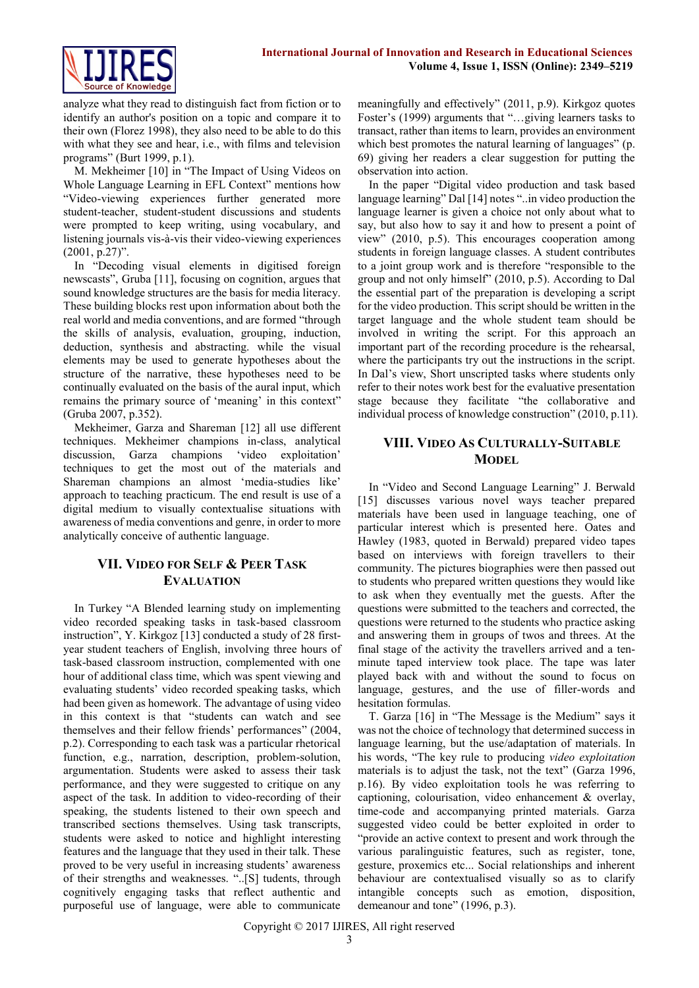

analyze what they read to distinguish fact from fiction or to identify an author's position on a topic and compare it to their own (Florez 1998), they also need to be able to do this with what they see and hear, i.e., with films and television programs" (Burt 1999, p.1).

M. Mekheimer [10] in "The Impact of Using Videos on Whole Language Learning in EFL Context" mentions how "Video-viewing experiences further generated more student-teacher, student-student discussions and students were prompted to keep writing, using vocabulary, and listening journals vis-à-vis their video-viewing experiences  $(2001, p.27)$ ".

In "Decoding visual elements in digitised foreign newscasts", Gruba [11], focusing on cognition, argues that sound knowledge structures are the basis for media literacy. These building blocks rest upon information about both the real world and media conventions, and are formed "through the skills of analysis, evaluation, grouping, induction, deduction, synthesis and abstracting. while the visual elements may be used to generate hypotheses about the structure of the narrative, these hypotheses need to be continually evaluated on the basis of the aural input, which remains the primary source of 'meaning' in this context" (Gruba 2007, p.352).

Mekheimer, Garza and Shareman [12] all use different techniques. Mekheimer champions in-class, analytical discussion, Garza champions 'video exploitation' techniques to get the most out of the materials and Shareman champions an almost 'media-studies like' approach to teaching practicum. The end result is use of a digital medium to visually contextualise situations with awareness of media conventions and genre, in order to more analytically conceive of authentic language.

# **VII. VIDEO FOR SELF & PEER TASK EVALUATION**

In Turkey "A Blended learning study on implementing video recorded speaking tasks in task-based classroom instruction", Y. Kirkgoz [13] conducted a study of 28 firstyear student teachers of English, involving three hours of task-based classroom instruction, complemented with one hour of additional class time, which was spent viewing and evaluating students' video recorded speaking tasks, which had been given as homework. The advantage of using video in this context is that "students can watch and see themselves and their fellow friends' performances" (2004, p.2). Corresponding to each task was a particular rhetorical function, e.g., narration, description, problem-solution, argumentation. Students were asked to assess their task performance, and they were suggested to critique on any aspect of the task. In addition to video-recording of their speaking, the students listened to their own speech and transcribed sections themselves. Using task transcripts, students were asked to notice and highlight interesting features and the language that they used in their talk. These proved to be very useful in increasing students' awareness of their strengths and weaknesses. "..[S] tudents, through cognitively engaging tasks that reflect authentic and purposeful use of language, were able to communicate

meaningfully and effectively" (2011, p.9). Kirkgoz quotes Foster's (1999) arguments that "…giving learners tasks to transact, rather than items to learn, provides an environment which best promotes the natural learning of languages" (p. 69) giving her readers a clear suggestion for putting the observation into action.

In the paper "Digital video production and task based language learning" Dal [14] notes "..in video production the language learner is given a choice not only about what to say, but also how to say it and how to present a point of view" (2010, p.5). This encourages cooperation among students in foreign language classes. A student contributes to a joint group work and is therefore "responsible to the group and not only himself" (2010, p.5). According to Dal the essential part of the preparation is developing a script for the video production. This script should be written in the target language and the whole student team should be involved in writing the script. For this approach an important part of the recording procedure is the rehearsal, where the participants try out the instructions in the script. In Dal's view, Short unscripted tasks where students only refer to their notes work best for the evaluative presentation stage because they facilitate "the collaborative and individual process of knowledge construction" (2010, p.11).

## **VIII. VIDEO AS CULTURALLY-SUITABLE MODEL**

In "Video and Second Language Learning" J. Berwald [15] discusses various novel ways teacher prepared materials have been used in language teaching, one of particular interest which is presented here. Oates and Hawley (1983, quoted in Berwald) prepared video tapes based on interviews with foreign travellers to their community. The pictures biographies were then passed out to students who prepared written questions they would like to ask when they eventually met the guests. After the questions were submitted to the teachers and corrected, the questions were returned to the students who practice asking and answering them in groups of twos and threes. At the final stage of the activity the travellers arrived and a tenminute taped interview took place. The tape was later played back with and without the sound to focus on language, gestures, and the use of filler-words and hesitation formulas.

T. Garza [16] in "The Message is the Medium" says it was not the choice of technology that determined success in language learning, but the use/adaptation of materials. In his words, "The key rule to producing *video exploitation* materials is to adjust the task, not the text" (Garza 1996, p.16). By video exploitation tools he was referring to captioning, colourisation, video enhancement & overlay, time-code and accompanying printed materials. Garza suggested video could be better exploited in order to "provide an active context to present and work through the various paralinguistic features, such as register, tone, gesture, proxemics etc... Social relationships and inherent behaviour are contextualised visually so as to clarify intangible concepts such as emotion, disposition, demeanour and tone" (1996, p.3).

Copyright © 2017 IJIRES, All right reserved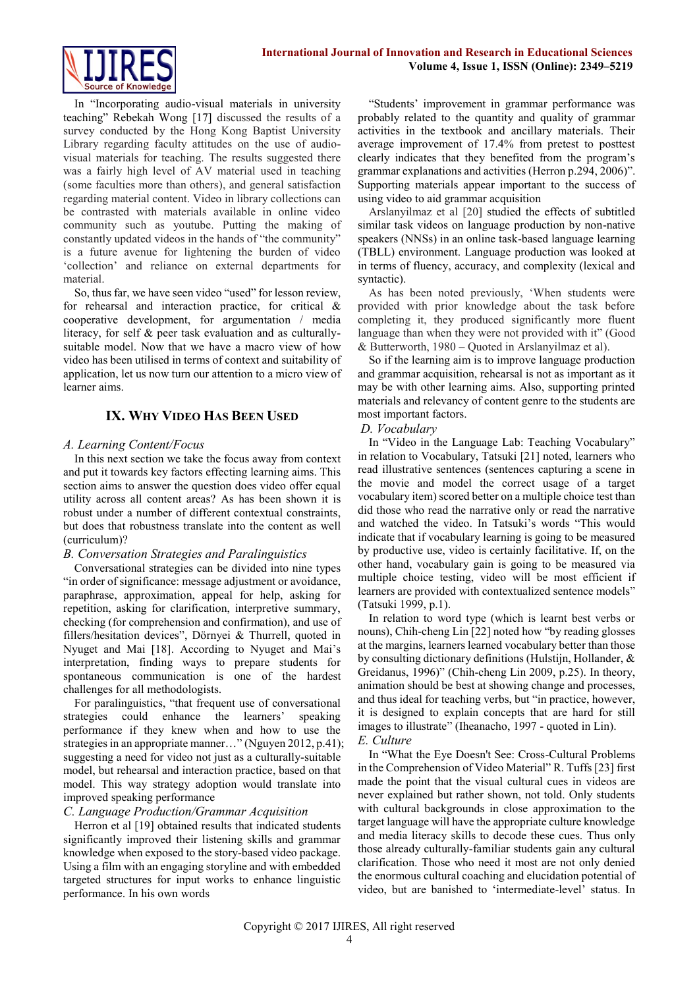In "Incorporating audio-visual materials in university teaching" Rebekah Wong [17] discussed the results of a survey conducted by the Hong Kong Baptist University Library regarding faculty attitudes on the use of audiovisual materials for teaching. The results suggested there was a fairly high level of AV material used in teaching (some faculties more than others), and general satisfaction regarding material content. Video in library collections can be contrasted with materials available in online video community such as youtube. Putting the making of constantly updated videos in the hands of "the community" is a future avenue for lightening the burden of video 'collection' and reliance on external departments for material.

So, thus far, we have seen video "used" for lesson review, for rehearsal and interaction practice, for critical & cooperative development, for argumentation / media literacy, for self & peer task evaluation and as culturallysuitable model. Now that we have a macro view of how video has been utilised in terms of context and suitability of application, let us now turn our attention to a micro view of learner aims.

## **IX. WHY VIDEO HAS BEEN USED**

### *A. Learning Content/Focus*

In this next section we take the focus away from context and put it towards key factors effecting learning aims. This section aims to answer the question does video offer equal utility across all content areas? As has been shown it is robust under a number of different contextual constraints, but does that robustness translate into the content as well (curriculum)?

#### *B. Conversation Strategies and Paralinguistics*

Conversational strategies can be divided into nine types "in order of significance: message adjustment or avoidance, paraphrase, approximation, appeal for help, asking for repetition, asking for clarification, interpretive summary, checking (for comprehension and confirmation), and use of fillers/hesitation devices", Dörnyei & Thurrell, quoted in Nyuget and Mai [18]. According to Nyuget and Mai's interpretation, finding ways to prepare students for spontaneous communication is one of the hardest challenges for all methodologists.

For paralinguistics, "that frequent use of conversational strategies could enhance the learners' speaking performance if they knew when and how to use the strategies in an appropriate manner..." (Nguyen 2012, p.41); suggesting a need for video not just as a culturally-suitable model, but rehearsal and interaction practice, based on that model. This way strategy adoption would translate into improved speaking performance

#### *C. Language Production/Grammar Acquisition*

Herron et al [19] obtained results that indicated students significantly improved their listening skills and grammar knowledge when exposed to the story-based video package. Using a film with an engaging storyline and with embedded targeted structures for input works to enhance linguistic performance. In his own words

"Students' improvement in grammar performance was probably related to the quantity and quality of grammar activities in the textbook and ancillary materials. Their average improvement of 17.4% from pretest to posttest clearly indicates that they benefited from the program's grammar explanations and activities (Herron p.294, 2006)". Supporting materials appear important to the success of using video to aid grammar acquisition

Arslanyilmaz et al [20] studied the effects of subtitled similar task videos on language production by non-native speakers (NNSs) in an online task-based language learning (TBLL) environment. Language production was looked at in terms of fluency, accuracy, and complexity (lexical and syntactic).

As has been noted previously, 'When students were provided with prior knowledge about the task before completing it, they produced significantly more fluent language than when they were not provided with it" (Good & Butterworth, 1980 – Quoted in Arslanyilmaz et al).

So if the learning aim is to improve language production and grammar acquisition, rehearsal is not as important as it may be with other learning aims. Also, supporting printed materials and relevancy of content genre to the students are most important factors.

#### *D. Vocabulary*

In "Video in the Language Lab: Teaching Vocabulary" in relation to Vocabulary, Tatsuki [21] noted, learners who read illustrative sentences (sentences capturing a scene in the movie and model the correct usage of a target vocabulary item) scored better on a multiple choice test than did those who read the narrative only or read the narrative and watched the video. In Tatsuki's words "This would indicate that if vocabulary learning is going to be measured by productive use, video is certainly facilitative. If, on the other hand, vocabulary gain is going to be measured via multiple choice testing, video will be most efficient if learners are provided with contextualized sentence models" (Tatsuki 1999, p.1).

In relation to word type (which is learnt best verbs or nouns), Chih-cheng Lin [22] noted how "by reading glosses at the margins, learners learned vocabulary better than those by consulting dictionary definitions (Hulstijn, Hollander, & Greidanus, 1996)" (Chih-cheng Lin 2009, p.25). In theory, animation should be best at showing change and processes, and thus ideal for teaching verbs, but "in practice, however, it is designed to explain concepts that are hard for still images to illustrate" (Iheanacho, 1997 - quoted in Lin). *E. Culture*

In "What the Eye Doesn't See: Cross-Cultural Problems in the Comprehension of Video Material" R. Tuffs [23] first made the point that the visual cultural cues in videos are never explained but rather shown, not told. Only students with cultural backgrounds in close approximation to the target language will have the appropriate culture knowledge and media literacy skills to decode these cues. Thus only those already culturally-familiar students gain any cultural clarification. Those who need it most are not only denied the enormous cultural coaching and elucidation potential of video, but are banished to 'intermediate-level' status. In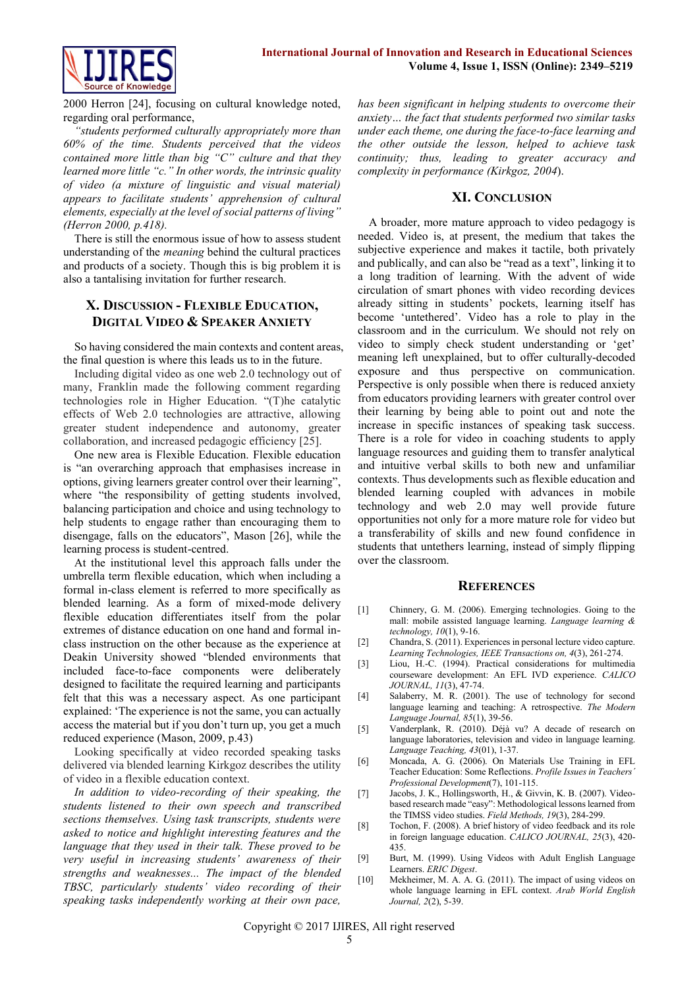

2000 Herron [24], focusing on cultural knowledge noted, regarding oral performance,

*"students performed culturally appropriately more than 60% of the time. Students perceived that the videos contained more little than big "C" culture and that they learned more little "c." In other words, the intrinsic quality of video (a mixture of linguistic and visual material) appears to facilitate students' apprehension of cultural elements, especially at the level of social patterns of living" (Herron 2000, p.418).*

There is still the enormous issue of how to assess student understanding of the *meaning* behind the cultural practices and products of a society. Though this is big problem it is also a tantalising invitation for further research.

## **X. DISCUSSION - FLEXIBLE EDUCATION, DIGITAL VIDEO & SPEAKER ANXIETY**

So having considered the main contexts and content areas, the final question is where this leads us to in the future.

Including digital video as one web 2.0 technology out of many, Franklin made the following comment regarding technologies role in Higher Education. "(T)he catalytic effects of Web 2.0 technologies are attractive, allowing greater student independence and autonomy, greater collaboration, and increased pedagogic efficiency [25].

One new area is Flexible Education. Flexible education is "an overarching approach that emphasises increase in options, giving learners greater control over their learning", where "the responsibility of getting students involved, balancing participation and choice and using technology to help students to engage rather than encouraging them to disengage, falls on the educators", Mason [26], while the learning process is student-centred.

At the institutional level this approach falls under the umbrella term flexible education, which when including a formal in-class element is referred to more specifically as blended learning. As a form of mixed-mode delivery flexible education differentiates itself from the polar extremes of distance education on one hand and formal inclass instruction on the other because as the experience at Deakin University showed "blended environments that included face-to-face components were deliberately designed to facilitate the required learning and participants felt that this was a necessary aspect. As one participant explained: 'The experience is not the same, you can actually access the material but if you don't turn up, you get a much reduced experience (Mason, 2009, p.43)

Looking specifically at video recorded speaking tasks delivered via blended learning Kirkgoz describes the utility of video in a flexible education context.

*In addition to video-recording of their speaking, the students listened to their own speech and transcribed sections themselves. Using task transcripts, students were asked to notice and highlight interesting features and the language that they used in their talk. These proved to be very useful in increasing students' awareness of their strengths and weaknesses... The impact of the blended TBSC, particularly students' video recording of their speaking tasks independently working at their own pace,*  *has been significant in helping students to overcome their anxiety… the fact that students performed two similar tasks under each theme, one during the face-to-face learning and the other outside the lesson, helped to achieve task continuity; thus, leading to greater accuracy and complexity in performance (Kirkgoz, 2004*).

#### **XI. CONCLUSION**

A broader, more mature approach to video pedagogy is needed. Video is, at present, the medium that takes the subjective experience and makes it tactile, both privately and publically, and can also be "read as a text", linking it to a long tradition of learning. With the advent of wide circulation of smart phones with video recording devices already sitting in students' pockets, learning itself has become 'untethered'. Video has a role to play in the classroom and in the curriculum. We should not rely on video to simply check student understanding or 'get' meaning left unexplained, but to offer culturally-decoded exposure and thus perspective on communication. Perspective is only possible when there is reduced anxiety from educators providing learners with greater control over their learning by being able to point out and note the increase in specific instances of speaking task success. There is a role for video in coaching students to apply language resources and guiding them to transfer analytical and intuitive verbal skills to both new and unfamiliar contexts. Thus developments such as flexible education and blended learning coupled with advances in mobile technology and web 2.0 may well provide future opportunities not only for a more mature role for video but a transferability of skills and new found confidence in students that untethers learning, instead of simply flipping over the classroom.

#### **REFERENCES**

- [1] Chinnery, G. M. (2006). Emerging technologies. Going to the mall: mobile assisted language learning. *Language learning & technology, 10*(1), 9-16.
- [2] Chandra, S. (2011). Experiences in personal lecture video capture. *Learning Technologies, IEEE Transactions on, 4*(3), 261-274.
- [3] Liou, H.-C. (1994). Practical considerations for multimedia courseware development: An EFL IVD experience. *CALICO JOURNAL, 11*(3), 47-74.
- [4] Salaberry, M. R. (2001). The use of technology for second language learning and teaching: A retrospective. *The Modern Language Journal, 85*(1), 39-56.
- [5] Vanderplank, R. (2010). Déjà vu? A decade of research on language laboratories, television and video in language learning. *Language Teaching, 43*(01), 1-37.
- [6] Moncada, A. G. (2006). On Materials Use Training in EFL Teacher Education: Some Reflections. *Profile Issues in Teachers´ Professional Development*(7), 101-115.
- [7] Jacobs, J. K., Hollingsworth, H., & Givvin, K. B. (2007). Videobased research made "easy": Methodological lessons learned from the TIMSS video studies. *Field Methods, 19*(3), 284-299.
- [8] Tochon, F. (2008). A brief history of video feedback and its role in foreign language education. *CALICO JOURNAL, 25*(3), 420- 435.
- [9] Burt, M. (1999). Using Videos with Adult English Language Learners. *ERIC Digest*.
- [10] Mekheimer, M. A. A. G. (2011). The impact of using videos on whole language learning in EFL context. *Arab World English Journal, 2*(2), 5-39.

Copyright © 2017 IJIRES, All right reserved